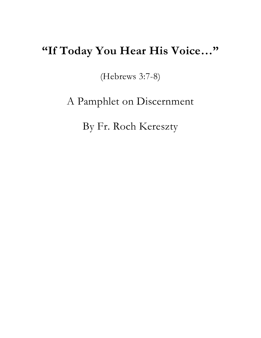# **"If Today You Hear His Voice…"**

(Hebrews 3:7-8)

A Pamphlet on Discernment

By Fr. Roch Kereszty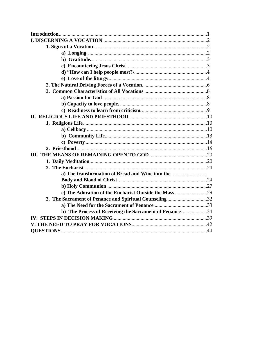| c) The Adoration of the Eucharist Outside the Mass 29   |  |
|---------------------------------------------------------|--|
| 3. The Sacrament of Penance and Spiritual Counseling 32 |  |
|                                                         |  |
| b) The Process of Receiving the Sacrament of Penance 34 |  |
|                                                         |  |
|                                                         |  |
|                                                         |  |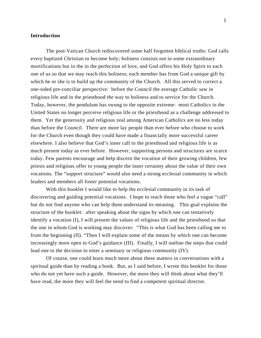## **Introduction**

The post-Vatican Church rediscovered some half forgotten biblical truths: God calls every baptized Christian to become holy; holiness consists not in some extraordinary mortifications but in the in the perfection of love, and God offers his Holy Spirit to each one of us so that we may reach this holiness; each member has from God a unique gift by which he or she is to build up the community of the Church. All this served to correct a one-sided pre-conciliar perspective: before the Council the average Catholic saw in religious life and in the priesthood *the* way to holiness and to service for the Church. Today, however, the pendulum has swung to the opposite extreme: most Catholics in the United States no longer perceive religious life or the priesthood as a challenge addressed to them. Yet the generosity and religious zeal among American Catholics are no less today than before the Council. There are more lay people than ever before who choose to work for the Church even though they could have made a financially more successful career elsewhere. I also believe that God's inner call to the priesthood and religious life is as much present today as ever before. However, supporting persons and structures are scarce today. Few parents encourage and help discern the vocation of their growing children, few priests and religious offer to young people the inner certainty about the value of their own vocations. The "support structure" would also need a strong ecclesial community in which leaders and members all foster potential vocations.

With this booklet I would like to help the ecclesial community in its task of discovering and guiding potential vocations. I hope to reach those who feel a vague "call" but do not find anyone who can help them understand its meaning. This goal explains the structure of the booklet: after speaking about the signs by which one can tentatively identify a vocation (I), I will present the values of religious life and the priesthood so that the one in whom God is working may discover: "This is what God has been calling me to from the beginning (II). "Then I will explain some of the means by which one can become increasingly more open to God's guidance (III). Finally, I will outline the steps that could lead one to the decision to enter a seminary or religious community (IV).

Of course, one could learn much more about these matters in conversations with a spiritual guide than by reading a book. But, as I said before, I wrote this booklet for those who do not yet have such a guide. However, the more they will think about what they'll have read, the more they will feel the need to find a competent spiritual director.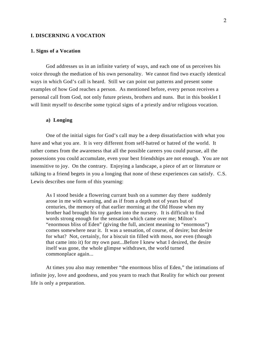# **I. DISCERNING A VOCATION**

### **1. Signs of a Vocation**

God addresses us in an infinite variety of ways, and each one of us perceives his voice through the mediation of his own personality. We cannot find two exactly identical ways in which God's call is heard. Still we can point out patterns and present some examples of how God reaches a person. As mentioned before, every person receives a personal call from God, not only future priests, brothers and nuns. But in this booklet I will limit myself to describe some typical signs of a priestly and/or religious vocation.

### **a) Longing**

One of the initial signs for God's call may be a deep dissatisfaction with what you have and what you are. It is very different from self-hatred or hatred of the world. It rather comes from the awareness that all the possible careers you could pursue, all the possessions you could accumulate, even your best friendships are not enough. You are not insensitive to joy. On the contrary. Enjoying a landscape, a piece of art or literature or talking to a friend begets in you a longing that none of these experiences can satisfy. C.S. Lewis describes one form of this yearning:

As I stood beside a flowering currant bush on a summer day there suddenly arose in me with warning, and as if from a depth not of years but of centuries, the memory of that earlier morning at the Old House when my brother had brought his toy garden into the nursery. It is difficult to find words strong enough for the sensation which came over me; Milton's "enormous bliss of Eden" (giving the full, ancient meaning to "enormous") comes somewhere near it. It was a sensation, of course, of desire; but desire for what? Not, certainly, for a biscuit tin filled with moss, nor even (though that came into it) for my own past...Before I knew what I desired, the desire itself was gone, the whole glimpse withdrawn, the world turned commonplace again...

At times you also may remember "the enormous bliss of Eden," the intimations of infinite joy, love and goodness, and you yearn to reach that Reality for which our present life is only a preparation.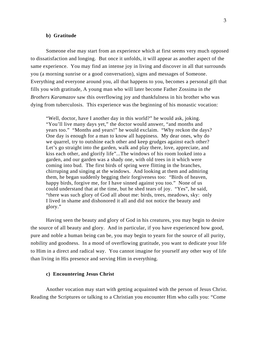### **b) Gratitude**

Someone else may start from an experience which at first seems very much opposed to dissatisfaction and longing. But once it unfolds, it will appear as another aspect of the same experience. You may find an intense joy in living and discover in all that surrounds you (a morning sunrise or a good conversation), signs and messages of Someone. Everything and everyone around you, all that happens to you, becomes a personal gift that fills you with gratitude, A young man who will later become Father Zossima in *the Brothers Karamazov* saw this overflowing joy and thankfulness in his brother who was dying from tuberculosis. This experience was the beginning of his monastic vocation:

"Well, doctor, have I another day in this world?" he would ask, joking. "You'll live many days yet," the doctor would answer, "and months and years too." "Months and years!" he would exclaim. "Why reckon the days? One day is enough for a man to know all happiness. My dear ones, why do we quarrel, try to outshine each other and keep grudges against each other? Let's go straight into the garden, walk and play there, love, appreciate, and kiss each other, and glorify life"...The windows of his room looked into a garden, and our garden was a shady one, with old trees in it which were coming into bud. The first birds of spring were flitting in the branches, chirruping and singing at the windows. And looking at them and admiring them, he began suddenly begging their forgiveness too: "Birds of heaven, happy birds, forgive me, for I have sinned against you too." None of us could understand that at the time, but he shed tears of joy. "Yes", he said, "there was such glory of God all about me: birds, trees, meadows, sky: only I lived in shame and dishonored it all and did not notice the beauty and glory."

Having seen the beauty and glory of God in his creatures, you may begin to desire the source of all beauty and glory. And in particular, if you have experienced how good, pure and noble a human being can be, you may begin to yearn for the source of all purity, nobility and goodness. In a mood of overflowing gratitude, you want to dedicate your life to Him in a direct and radical way. You cannot imagine for yourself any other way of life than living in His presence and serving Him in everything.

### **c) Encountering Jesus Christ**

Another vocation may start with getting acquainted with the person of Jesus Christ. Reading the Scriptures or talking to a Christian you encounter Him who calls you: "Come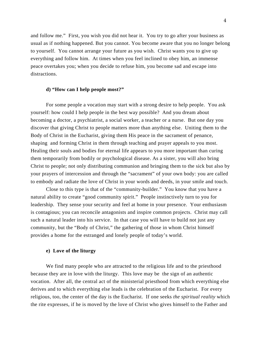and follow me." First, you wish you did not hear it. You try to go after your business as usual as if nothing happened. But you cannot. You become aware that you no longer belong to yourself. You cannot arrange your future as you wish. Christ wants you to give up everything and follow him. At times when you feel inclined to obey him, an immense peace overtakes you; when you decide to refuse him, you become sad and escape into distractions.

# **d) "How can I help people most?"**

For some people a vocation may start with a strong desire to help people. You ask yourself: how could I help people in the best way possible? And you dream about becoming a doctor, a psychiatrist, a social worker, a teacher or a nurse. But one day you discover that giving Christ to people matters more than anything else. Uniting them to the Body of Christ in the Eucharist, giving them His peace in the sacrament of penance, shaping and forming Christ in them through teaching and prayer appeals to you most. Healing their souls and bodies for eternal life appears to you more important than curing them temporarily from bodily or psychological disease. As a sister, you will also bring Christ to people; not only distributing communion and bringing them to the sick but also by your prayers of intercession and through the "sacrament" of your own body: you are called to embody and radiate the love of Christ in your words and deeds, in your smile and touch.

Close to this type is that of the "community-builder." You know that you have a natural ability to create "good community spirit." People instinctively turn to you for leadership. They sense your security and feel at home in your presence. Your enthusiasm is contagious; you can reconcile antagonists and inspire common projects. Christ may call such a natural leader into his service. In that case you will have to build not just any community, but the "Body of Christ," the gathering of those in whom Christ himself provides a home for the estranged and lonely people of today's world.

### **e) Love of the liturgy**

We find many people who are attracted to the religious life and to the priesthood because they are in love with the liturgy. This love may be the sign of an authentic vocation. After all, the central act of the ministerial priesthood from which everything else derives and to which everything else leads is the celebration of the Eucharist. For every religious, too, the center of the day is the Eucharist. If one seeks *the spiritual reality* which the rite expresses, if he is moved by the love of Christ who gives himself to the Father and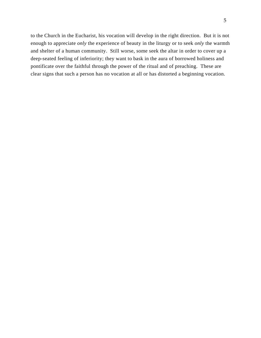to the Church in the Eucharist, his vocation will develop in the right direction. But it is not enough to appreciate *only* the experience of beauty in the liturgy or to seek *only* the warmth and shelter of a human community. Still worse, some seek the altar in order to cover up a deep-seated feeling of inferiority; they want to bask in the aura of borrowed holiness and pontificate over the faithful through the power of the ritual and of preaching. These are clear signs that such a person has no vocation at all or has distorted a beginning vocation.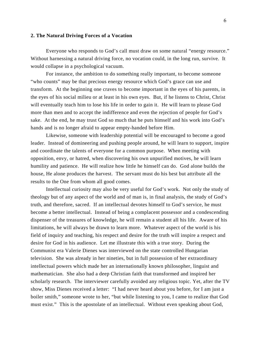# **2. The Natural Driving Forces of a Vocation**

Everyone who responds to God's call must draw on some natural "energy resource." Without harnessing a natural driving force, no vocation could, in the long run, survive. It would collapse in a psychological vacuum.

For instance, the ambition to do something really important, to become someone "who counts" may be that precious energy resource which God's grace can use and transform. At the beginning one craves to become important in the eyes of his parents, in the eyes of his social milieu or at least in his own eyes. But, if he listens to Christ, Christ will eventually teach him to lose his life in order to gain it. He will learn to please God more than men and to accept the indifference and even the rejection of people for God's sake. At the end, he may trust God so much that he puts himself and his work into God's hands and is no longer afraid to appear empty-handed before Him.

Likewise, someone with leadership potential will be encouraged to become a good leader. Instead of domineering and pushing people around, he will learn to support, inspire and coordinate the talents of everyone for a common purpose. When meeting with opposition, envy, or hatred, when discovering his own unpurified motives, he will learn humility and patience. He will realize how little he himself can do. God alone builds the house, He alone produces the harvest. The servant must do his best but attribute all the results to the One from whom all good comes.

Intellectual curiosity may also be very useful for God's work. Not only the study of theology but of any aspect of the world and of man is, in final analysis, the study of God's truth, and therefore, sacred. If an intellectual devotes himself to God's service, he must become a better intellectual. Instead of being a complacent possessor and a condescending dispenser of the treasures of knowledge, he will remain a student all his life. Aware of his limitations, he will always be drawn to learn more. Whatever aspect of the world is his field of inquiry and teaching, his respect and desire for the truth will inspire a respect and desire for God in his audience. Let me illustrate this with a true story. During the Communist era Valerie Dienes was interviewed on the state controlled Hungarian television. She was already in her nineties, but in full possession of her extraordinary intellectual powers which made her an internationally known philosopher, linguist and mathematician. She also had a deep Christian faith that transformed and inspired her scholarly research. The interviewer carefully avoided any religious topic. Yet, after the TV show, Miss Dienes received a letter: "I had never heard about you before, for I am just a boiler smith," someone wrote to her, "but while listening to you, I came to realize that God must exist." This is the apostolate of an intellectual. Without even speaking about God,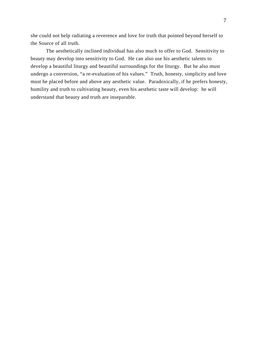she could not help radiating a reverence and love for truth that pointed beyond herself to the Source of all truth.

The aesthetically inclined individual has also much to offer to God. Sensitivity to beauty may develop into sensitivity to God. He can also use his aesthetic talents to develop a beautiful liturgy and beautiful surroundings for the liturgy. But he also must undergo a conversion, "a re-evaluation of his values." Truth, honesty, simplicity and love must be placed before and above any aesthetic value. Paradoxically, if he prefers honesty, humility and truth to cultivating beauty, even his aesthetic taste will develop: he will understand that beauty and truth are inseparable.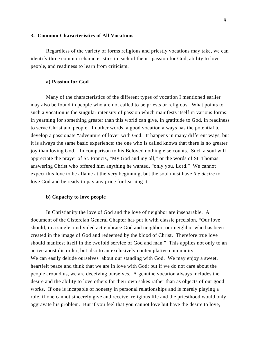### **3. Common Characteristics of All Vocations**

Regardless of the variety of forms religious and priestly vocations may take, we can identify three common characteristics in each of them: passion for God, ability to love people, and readiness to learn from criticism.

### **a) Passion for God**

Many of the characteristics of the different types of vocation I mentioned earlier may also be found in people who are not called to be priests or religious. What points to such a vocation is the singular intensity of passion which manifests itself in various forms: in yearning for something greater than this world can give, in gratitude to God, in readiness to serve Christ and people. In other words, a good vocation always has the potential to develop a passionate "adventure of love" with God. It happens in many different ways, but it is always the same basic experience: the one who is called knows that there is no greater joy than loving God. In comparison to his Beloved nothing else counts. Such a soul will appreciate the prayer of St. Francis, "My God and my all," or the words of St. Thomas answering Christ who offered him anything he wanted, "only you, Lord." We cannot expect this love to be aflame at the very beginning, but the soul must have *the desire* to love God and be ready to pay any price for learning it.

# **b) Capacity to love people**

In Christianity the love of God and the love of neighbor are inseparable. A document of the Cistercian General Chapter has put it with classic precision, "Our love should, in a single, undivided act embrace God and neighbor, our neighbor who has been created in the image of God and redeemed by the blood of Christ. Therefore true love should manifest itself in the twofold service of God and man." This applies not only to an active apostolic order, but also to an exclusively contemplative community. We can easily delude ourselves about our standing with God. We may enjoy a sweet, heartfelt peace and think that we are in love with God; but if we do not care about the people around us, we are deceiving ourselves. A genuine vocation always includes the desire and the ability to love others for their own sakes rather than as objects of our good works. If one is incapable of honesty in personal relationships and is merely playing a role, if one cannot sincerely give and receive, religious life and the priesthood would only aggravate his problem. But if you feel that you cannot love but have the desire to love,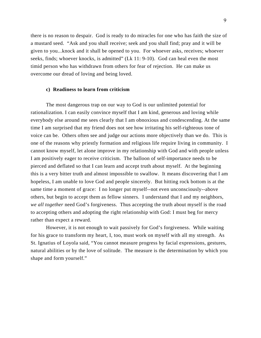there is no reason to despair. God is ready to do miracles for one who has faith the size of a mustard seed. "Ask and you shall receive; seek and you shall find; pray and it will be given to you...knock and it shall be opened to you. For whoever asks, receives; whoever seeks, finds; whoever knocks, is admitted" (Lk 11: 9-10). God can heal even the most timid person who has withdrawn from others for fear of rejection. He can make us overcome our dread of loving and being loved.

### **c) Readiness to learn from criticism**

The most dangerous trap on our way to God is our unlimited potential for rationalization. I can easily convince myself that I am kind, generous and loving while everybody else around me sees clearly that I am obnoxious and condescending. At the same time I am surprised that my friend does not see how irritating his self-righteous tone of voice can be. Others often see and judge our actions more objectively than we do. This is one of the reasons why priestly formation and religious life require living in community. I cannot know myself, let alone improve in my relationship with God and with people unless I am positively eager to receive criticism. The balloon of self-importance needs to be pierced and deflated so that I can learn and accept truth about myself. At the beginning this is a very bitter truth and almost impossible to swallow. It means discovering that I am hopeless, I am unable to love God and people sincerely. But hitting rock bottom is at the same time a moment of grace: I no longer put myself--not even unconsciously--above others, but begin to accept them as fellow sinners. I understand that I and my neighbors, *we all together* need God's forgiveness. Thus accepting the truth about myself is the road to accepting others and adopting the right relationship with God: I must beg for mercy rather than expect a reward.

However, it is not enough to wait passively for God's forgiveness. While waiting for his grace to transform my heart, I, too, must work on myself with all my strength. As St. Ignatius of Loyola said, "You cannot measure progress by facial expressions, gestures, natural abilities or by the love of solitude. The measure is the determination by which you shape and form yourself."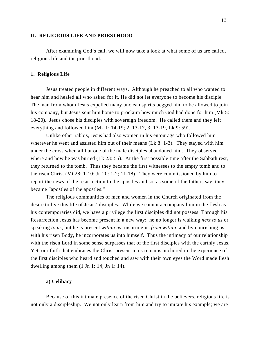### **II. RELIGIOUS LIFE AND PRIESTHOOD**

After examining God's call, we will now take a look at what some of us are called, religious life and the priesthood.

### **1. Religious Life**

Jesus treated people in different ways. Although he preached to all who wanted to hear him and healed all who asked for it, He did not let everyone to become his disciple. The man from whom Jesus expelled many unclean spirits begged him to be allowed to join his company, but Jesus sent him home to proclaim how much God had done for him (Mk 5: 18-20). Jesus chose his disciples with sovereign freedom. He called them and they left everything and followed him (Mk 1: 14-19; 2: 13-17, 3: 13-19, Lk 9: 59).

Unlike other rabbis, Jesus had also women in his entourage who followed him wherever he went and assisted him out of their means (Lk 8: 1-3). They stayed with him under the cross when all but one of the male disciples abandoned him. They observed where and how he was buried (Lk 23: 55). At the first possible time after the Sabbath rest, they returned to the tomb. Thus they became the first witnesses to the empty tomb and to the risen Christ (Mt 28: 1-10; Jn 20: 1-2; 11-18). They were commissioned by him to report the news of the resurrection to the apostles and so, as some of the fathers say, they became "apostles of the apostles."

The religious communities of men and women in the Church originated from the desire to live this life of Jesus' disciples. While we cannot accompany him in the flesh as his contemporaries did, we have a privilege the first disciples did not possess: Through his Resurrection Jesus has become present in a new way: he no longer is walking *next to us* or speaking *to us*, but he is present *within us*, inspiring us *from within*, and by nourishing us with his risen Body, he incorporates us into himself. Thus the intimacy of our relationship with the risen Lord in some sense surpasses that of the first disciples with the earthly Jesus. Yet, our faith that embraces the Christ present in us remains anchored in the experience of the first disciples who heard and touched and saw with their own eyes the Word made flesh dwelling among them  $(1 \text{ Jn } 1: 14; \text{ Jn } 1: 14)$ .

### **a) Celibacy**

Because of this intimate presence of the risen Christ in the believers, religious life is not only a discipleship. We not only learn from him and try to imitate his example; we are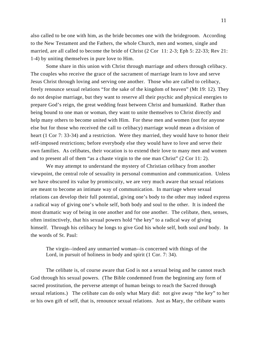also called to be one with him, as the bride becomes one with the bridegroom. According to the New Testament and the Fathers, the whole Church, men and women, single and married, are all called to become the bride of Christ (2 Cor 11: 2-3; Eph 5: 22-33; Rev 21: 1-4) by uniting themselves in pure love to Him.

Some share in this union with Christ through marriage and others through celibacy. The couples who receive the grace of the sacrament of marriage learn to love and serve Jesus Christ through loving and serving one another. Those who are called to celibacy, freely renounce sexual relations "for the sake of the kingdom of heaven" (Mt 19: 12). They do not despise marriage, but they want to reserve all their psychic and physical energies to prepare God's reign, the great wedding feast between Christ and humankind. Rather than being bound to one man or woman, they want to unite themselves to Christ directly and help many others to become united with Him. For these men and women (not for anyone else but for those who received the call to celibacy) marriage would mean a division of heart (1 Cor 7: 33-34) and a restriction. Were they married, they would have to honor their self-imposed restrictions; before everybody else they would have to love and serve their own families. As celibates, their vocation is to extend their love to many men and women and to present all of them "as a chaste virgin to the one man Christ" (2 Cor 11: 2).

We may attempt to understand the mystery of Christian celibacy from another viewpoint, the central role of sexuality in personal communion and communication. Unless we have obscured its value by promiscuity, we are very much aware that sexual relations are meant to become an intimate way of communication. In marriage where sexual relations can develop their full potential, giving one's body to the other may indeed express a radical way of giving one's whole self, both body and soul to the other. It is indeed the most dramatic way of being in one another and for one another. The celibate, then, senses, often instinctively, that his sexual powers hold "the key" to a radical way of giving himself. Through his celibacy he longs to give God his whole self, both soul *and* body. In the words of St. Paul:

The virgin--indeed any unmarried woman--is concerned with things of the Lord, in pursuit of holiness in body and spirit (1 Cor. 7: 34).

The celibate is, of course aware that God is not a sexual being and he cannot reach God through his sexual powers. (The Bible condemned from the beginning any form of sacred prostitution, the perverse attempt of human beings to reach the Sacred through sexual relations.) The celibate can do only what Mary did: not give away "the key" to her or his own gift of self, that is, renounce sexual relations. Just as Mary, the celibate wants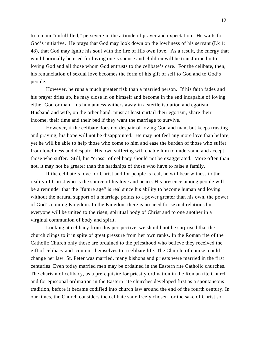to remain "unfulfilled," persevere in the attitude of prayer and expectation. He waits for God's initiative. He prays that God may look down on the lowliness of his servant (Lk 1: 48), that God may ignite his soul with the fire of His own love. As a result, the energy that would normally be used for loving one's spouse and children will be transformed into loving God and all those whom God entrusts to the celibate's care. For the celibate, then, his renunciation of sexual love becomes the form of his gift of self to God and to God's people.

However, he runs a much greater risk than a married person. If his faith fades and his prayer dries up, he may close in on himself and become in the end incapable of loving either God or man: his humanness withers away in a sterile isolation and egotism. Husband and wife, on the other hand, must at least curtail their egotism, share their income, their time and their bed if they want the marriage to survive.

However, if the celibate does not despair of loving God and man, but keeps trusting and praying, his hope will not be disappointed. He may not feel any more love than before, yet he will be able to help those who come to him and ease the burden of those who suffer from loneliness and despair. His own suffering will enable him to understand and accept those who suffer. Still, his "cross" of celibacy should not be exaggerated. More often than not, it may not be greater than the hardships of those who have to raise a family.

If the celibate's love for Christ and for people is real, he will bear witness to the reality of Christ who is the source of his love and peace. His presence among people will be a reminder that the "future age" is real since his ability to become human and loving without the natural support of a marriage points to a power greater than his own, the power of God's coming Kingdom. In the Kingdom there is no need for sexual relations but everyone will be united to the risen, spiritual body of Christ and to one another in a virginal communion of body and spirit.

Looking at celibacy from this perspective, we should not be surprised that the church clings to it in spite of great pressure from her own ranks. In the Roman rite of the Catholic Church only those are ordained to the priesthood who believe they received the gift of celibacy and commit themselves to a celibate life. The Church, of course, could change her law. St. Peter was married, many bishops and priests were married in the first centuries. Even today married men may be ordained in the Eastern rite Catholic churches. The charism of celibacy, as a prerequisite for priestly ordination in the Roman rite Church and for episcopal ordination in the Eastern rite churches developed first as a spontaneous tradition, before it became codified into church law around the end of the fourth century. In our times, the Church considers the celibate state freely chosen for the sake of Christ so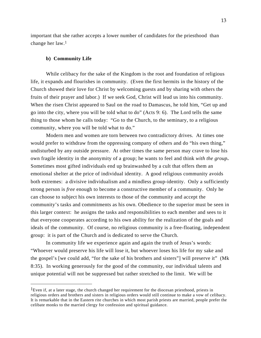important that she rather accepts a lower number of candidates for the priesthood than change her law.1

### **b) Community Life**

-

While celibacy for the sake of the Kingdom is the root and foundation of religious life, it expands and flourishes in community. (Even the first hermits in the history of the Church showed their love for Christ by welcoming guests and by sharing with others the fruits of their prayer and labor.) If we seek God, Christ will lead us into his community. When the risen Christ appeared to Saul on the road to Damascus, he told him, "Get up and go into the city, where you will be told what to do" (Acts 9: 6). The Lord tells the same thing to those whom he calls today: "Go to the Church, to the seminary, to a religious community, where you will be told what to do."

Modern men and women are torn between two contradictory drives. At times one would prefer to withdraw from the oppressing company of others and do "his own thing," undisturbed by any outside pressure. At other times the same person may crave to lose his own fragile identity in the anonymity of a group; he wants to feel and think *with the group***.** Sometimes most gifted individuals end up brainwashed by a cult that offers them an emotional shelter at the price of individual identity. A good religious community avoids both extremes: a divisive individualism and a mindless group-identity. Only a sufficiently strong person is *free* enough to become a constructive member of a community. Only he can choose to subject his own interests to those of the community and accept the community's tasks and commitments as his own. Obedience to the superior must be seen in this larger context: he assigns the tasks and responsibilities to each member and sees to it that everyone cooperates according to his own ability for the realization of the goals and ideals of the community. Of course, no religious community is a free-floating, independent group: it is part of the Church and is dedicated to serve the Church.

In community life we experience again and again the truth of Jesus's words: "Whoever would preserve his life will lose it, but whoever loses his life for my sake and the gospel's [we could add, "for the sake of his brothers and sisters"] will preserve it" (Mk 8:35). In working generously for the good of the community, our individual talents and unique potential will not be suppressed but rather stretched to the limit. We will be

<sup>&</sup>lt;sup>1</sup>Even if, at a later stage, the church changed her requirement for the diocesan priesthood, priests in religious orders and brothers and sisters in religious orders would still continue to make a vow of celibacy. It is remarkable that in the Eastern rite churches in which most parish priests are married, people prefer the celibate monks to the married clergy for confession and spiritual guidance.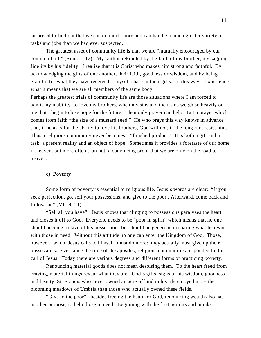surprised to find out that we can do much more and can handle a much greater variety of tasks and jobs than we had ever suspected.

The greatest asset of community life is that we are "mutually encouraged by our common faith" (Rom. 1: 12). My faith is rekindled by the faith of my brother, my sagging fidelity by his fidelity. I realize that it is Christ who makes him strong and faithful. By acknowledging the gifts of one another, their faith, goodness or wisdom, and by being grateful for what they have received, I myself share in their gifts. In this way, I experience what it means that we are all members of the same body.

Perhaps the greatest trials of community life are those situations where I am forced to admit my inability to love my brothers, when my sins and their sins weigh so heavily on me that I begin to lose hope for the future. Then only prayer can help. But a prayer which comes from faith "the size of a mustard seed." He who prays this way knows in advance that, if he asks for the ability to love his brothers, God will not, in the long run, resist him. Thus a religious community never becomes a "finished product." It is both a gift and a task, a present reality and an object of hope. Sometimes it provides a foretaste of our home in heaven, but more often than not, a convincing proof that we are only on the road to heaven.

# **c) Poverty**

Some form of poverty is essential to religious life. Jesus's words are clear: "If you seek perfection, go, sell your possessions, and give to the poor...Afterward, come back and follow me" (Mt 19: 21).

"Sell all you have": Jesus knows that clinging to possessions paralyzes the heart and closes it off to God. Everyone needs to be "poor in spirit" which means that no one should become a slave of his possessions but should be generous in sharing what he owns with those in need. Without this attitude no one can enter the Kingdom of God. Those, however, whom Jesus calls to himself, must do more: they actually must give up their possessions. Ever since the time of the apostles, religious communities responded to this call of Jesus. Today there are various degrees and different forms of practicing poverty.

Renouncing material goods does not mean despising them. To the heart freed from craving, material things reveal what they are: God's gifts, signs of his wisdom, goodness and beauty. St. Francis who never owned an acre of land in his life enjoyed more the blooming meadows of Umbria than those who actually owned these fields.

"Give to the poor": besides freeing the heart for God, renouncing wealth also has another purpose, to help those in need. Beginning with the first hermits and monks,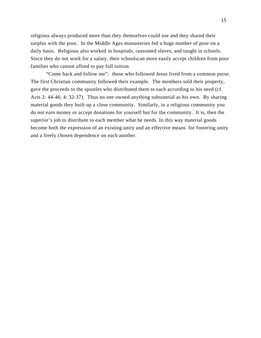religious always produced more than they themselves could use and they shared their surplus with the poor. In the Middle Ages monasteries fed a huge number of poor on a daily basis. Religious also worked in hospitals, ransomed slaves, and taught in schools. Since they do not work for a salary, their schoolscan more easily accept children from poor families who cannot afford to pay full tuition.

"Come back and follow me": those who followed Jesus lived from a common purse. The first Christian community followed their example. The members sold their property, gave the proceeds to the spostles who distributed them to each according to his need (cf. Acts 2: 44-46; 4: 32-37). Thus no one owned anything substantial as his own. By sharing material goods they built up a close community. Similarly, in a religious community you do not earn money or accept donations for yourself but for the community. It is, then the superior's job to distribute to each member what he needs. In this way material goods become both the expression of an existing unity and an effective means for fostering unity and a freely chosen dependence on each another.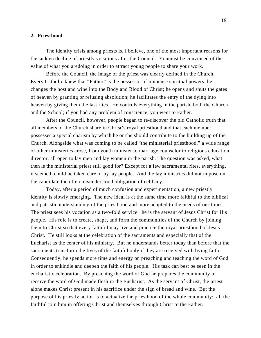### **2. Priesthood**

The identity crisis among priests is, I believe, one of the most important reasons for the sudden decline of priestly vocations after the Council. Youmust be convinced of the value of what you aredoing in order to attract young people to share your work.

Before the Council, the image of the priest was clearly defined in the Church. Every Catholic knew that "Father" is the possessor of immense spiritual powers: he changes the host and wine into the Body and Blood of Christ; he opens and shuts the gates of heaven by granting or refusing absolution; he facilitates the entry of the dying into heaven by giving them the last rites. He controls everything in the parish, both the Church and the School; if you had any problem of conscience, you went to Father.

After the Council, however, people began to re-discover the old Catholic truth that all members of the Church share in Christ's royal priesthood and that each member possesses a special charism by which he or she should contribute to the building up of the Church. Alongside what was coming to be called "the ministerial priesthood," a wide range of other ministeries arose, from youth minister to marriage counselor to religious education director, all open to lay men and lay women in the parish. The question was asked, what then is the ministerial priest still good for? Except for a few sacramental rites, everything, it seemed, could be taken care of by lay people. And the lay ministries did not impose on the candidate the often misunderstood obligation of celibacy.

Today, after a period of much confusion and experimentation, a new priestly identity is slowly emerging. The new ideal is at the same time more faithful to the biblical and patristic understanding of the priesthood and more adapted to the needs of our times. The priest sees his vocation as a two-fold service: he is the servant of Jesus Christ for His people. His role is to create, shape, and form the communities of the Church by joining them to Christ so that every faithful may live and practice the royal priesthood of Jesus Christ. He still looks at the celebration of the sacraments and especially that of the Eucharist as the center of his ministry. But he understands better today than before that the sacraments transform the lives of the faithful only if they are received with living faith. Consequently, he spends more time and energy on preaching and teaching the word of God in order to enkindle and deepen the faith of his people. His task can best be seen in the eucharistic celebration. By preaching the word of God he prepares the community to receive the word of God made flesh in the Eucharist. As the servant of Christ, the priest alone makes Christ present in his sacrifice under the sign of bread and wine. But the purpose of his priestly action is to actualize the priesthood of the whole community: all the faithful join him in offering Christ and themselves through Christ to the Father.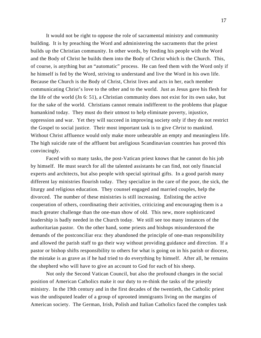It would not be right to oppose the role of sacramental ministry and community building. It is by preaching the Word and administering the sacraments that the priest builds up the Christian community. In other words, by feeding his people with the Word and the Body of Christ he builds them into the Body of Christ which is the Church. This, of course, is anything but an "automatic" process. He can feed them with the Word only if he himself is fed by the Word, striving to understand and live the Word in his own life. Because the Church is the Body of Christ, Christ lives and acts in her, each member communicating Christ's love to the other and to the world. Just as Jesus gave his flesh for the life of the world (Jn 6: 51), a Christian community does not exist for its own sake, but for the sake of the world. Christians cannot remain indifferent to the problems that plague humankind today. They must do their utmost to help eliminate poverty, injustice, oppression and war. Yet they will succeed in improving society only if they do not restrict the Gospel to social justice. Their most important task is to give *Christ* to mankind. Without Christ affluence would only make more unbearable an empty and meaningless life. The high suicide rate of the affluent but areligious Scandinavian countries has proved this convincingly.

Faced with so many tasks, the post-Vatican priest knows that he cannot do his job by himself. He must search for all the talented assistants he can find, not only financial experts and architects, but also people with special spiritual gifts. In a good parish many different lay ministries flourish today. They specialize in the care of the poor, the sick, the liturgy and religious education. They counsel engaged and married couples, help the divorced. The number of these ministries is still increasing. Enlisting the active cooperation of others, coordinating their activities, criticizing and encouraging them is a much greater challenge than the one-man show of old. This new, more sophisticated leadership is badly needed in the Church today. We still see too many instances of the authoritarian pastor. On the other hand, some priests and bishops misunderstood the demands of the postconciliar era: they abandoned the principle of one-man responsibility and allowed the parish staff to go their way without providing guidance and direction. If a pastor or bishop shifts responsibility to others for what is going on in his parish or diocese, the mistake is as grave as if he had tried to do everything by himself. After all, he remains the shepherd who will have to give an account to God for each of his sheep.

Not only the Second Vatican Council, but also the profound changes in the social position of American Catholics make it our duty to re-think the tasks of the priestly ministry. In the 19th century and in the first decades of the twentieth, the Catholic priest was the undisputed leader of a group of uprooted immigrants living on the margins of American society. The German, Irish, Polish and Italian Catholics faced the complex task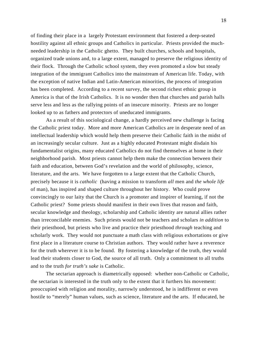of finding their place in a largely Protestant environment that fostered a deep-seated hostility against all ethnic groups and Catholics in particular. Priests provided the muchneeded leadership in the Catholic ghetto. They built churches, schools and hospitals, organized trade unions and, to a large extent, managed to preserve the religious identity of their flock. Through the Catholic school system, they even promoted a slow but steady integration of the immigrant Catholics into the mainstream of American life. Today, with the exception of native Indian and Latin-American minorities, the process of integration has been completed. According to a recent survey, the second richest ethnic group in America is that of the Irish Catholics. It is no wonder then that churches and parish halls serve less and less as the rallying points of an insecure minority. Priests are no longer looked up to as fathers and protectors of uneducated immigrants.

As a result of this sociological change, a hardly perceived new challenge is facing the Catholic priest today. More and more American Catholics are in desperate need of an intellectual leadership which would help them preserve their Catholic faith in the midst of an increasingly secular culture. Just as a highly educated Protestant might disdain his fundamentalist origins, many educated Catholics do not find themselves at home in their neighborhood parish. Most priests cannot help them make the connection between their faith and education, between God's revelation and the world of philosophy, science, literature, and the arts. We have forgotten to a large extent that the Catholic Church, precisely because it is *catholic* (having a mission to transform *all* men and *the whole life* of man), has inspired and shaped culture throughout her history. Who could prove convincingly to our laity that the Church is a promoter and inspirer of learning, if not the Catholic priest? Some priests should manifest in their own lives that reason and faith, secular knowledge and theology, scholarship and Catholic identity are natural allies rather than irreconcilable enemies. Such priests would not be teachers and scholars *in addition* to their priesthood, but priests who live and practice their priesthood *through* teaching and scholarly work. They would not punctuate a math class with religious exhortations or give first place in a literature course to Christian authors. They would rather have a reverence for the truth wherever it is to be found. By fostering a knowledge of the truth, they would lead their students closer to God, the source of all truth. Only a commitment to all truths and to the truth *for truth's sake* is Catholic.

The sectarian approach is diametrically opposed: whether non-Catholic or Catholic, the sectarian is interested in the truth only to the extent that it furthers his movement: preoccupied with religion and morality, narrowly understood, he is indifferent or even hostile to "merely" human values, such as science, literature and the arts. If educated, he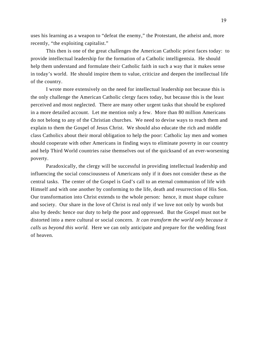uses his learning as a weapon to "defeat the enemy," the Protestant, the atheist and, more recently, "the exploiting capitalist."

This then is one of the great challenges the American Catholic priest faces today: to provide intellectual leadership for the formation of a Catholic intelligentsia. He should help them understand and formulate their Catholic faith in such a way that it makes sense in today's world. He should inspire them to value, criticize and deepen the intellectual life of the country.

I wrote more extensively on the need for intellectual leadership not because this is the only challenge the American Catholic clergy faces today, but because this is the least perceived and most neglected. There are many other urgent tasks that should be explored in a more detailed account. Let me mention only a few. More than 80 million Americans do not belong to any of the Christian churches. We need to devise ways to reach them and explain to them the Gospel of Jesus Christ. We should also educate the rich and middle class Catholics about their moral obligation to help the poor: Catholic lay men and women should cooperate with other Americans in finding ways to eliminate poverty in our country and help Third World countries raise themselves out of the quicksand of an ever-worsening poverty.

Paradoxically, the clergy will be successful in providing intellectual leadership and influencing the social consciousness of Americans only if it does not consider these as the central tasks. The center of the Gospel is God's call to an eternal communion of life with Himself and with one another by conforming to the life, death and resurrection of His Son. Our transformation into Christ extends to the whole person: hence, it must shape culture and society. Our share in the love of Christ is real only if we love not only by words but also by deeds: hence our duty to help the poor and oppressed. But the Gospel must not be distorted into a mere cultural or social concern. *It can transform the world only because it calls us beyond this world.* Here we can only anticipate and prepare for the wedding feast of heaven.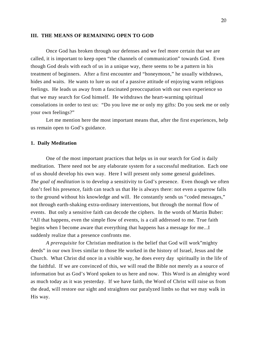### **III. THE MEANS OF REMAINING OPEN TO GOD**

Once God has broken through our defenses and we feel more certain that we are called, it is important to keep open "the channels of communication" towards God. Even though God deals with each of us in a unique way, there seems to be a pattern in his treatment of beginners. After a first encounter and "honeymoon," he usually withdraws, hides and waits. He wants to lure us out of a passive attitude of enjoying warm religious feelings. He leads us away from a fascinated preoccupation with our own experience so that we may search for God himself. He withdraws the heart-warming spiritual consolations in order to test us: "Do you love me or only my gifts: Do you seek me or only your own feelings?"

Let me mention here the most important means that, after the first experiences, help us remain open to God's guidance.

### **1. Daily Meditation**

One of the most important practices that helps us in our search for God is daily meditation. There need not be any elaborate system for a successful meditation. Each one of us should develop his own way. Here I will present only some general guidelines. *The goal of meditation* is to develop a sensitivity to God's presence. Even though we often don't feel his presence, faith can teach us that He is always there: not even a sparrow falls to the ground without his knowledge and will. He constantly sends us "coded messages," not through earth-shaking extra-ordinary interventions, but through the normal flow of events. But only a sensitive faith can decode the ciphers. In the words of Martin Buber: "All that happens, even the simple flow of events, is a call addressed to me. True faith begins when I become aware that everything that happens has a message for me...I suddenly realize that a presence confronts me.

*A prerequisite* for Christian meditation is the belief that God will work"mighty deeds" in our own lives similar to those He worked in the history of Israel, Jesus and the Church. What Christ did once in a visible way, he does every day spiritually in the life of the faithful. If we are convinced of this, we will read the Bible not merely as a source of information but as God's Word spoken to us here and now. This Word is an almighty word as much today as it was yesterday. If we have faith, the Word of Christ will raise us from the dead, will restore our sight and straighten our paralyzed limbs so that we may walk in His way.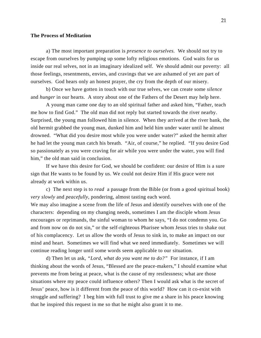### **The Process of Meditation**

a) The most important preparation is *presence to ourselves.* We should not try to escape from ourselves by pumping up some lofty religious emotions. God waits for us inside our real selves, not in an imaginary idealized self. We should admit our poverty: all those feelings, resentments, envies, and cravings that we are ashamed of yet are part of ourselves. God hears only an honest prayer, the cry from the depth of our misery.

b) Once we have gotten in touch with our true selves, we can create some *silence* and *hunger* in our hearts. A story about one of the Fathers of the Desert may help here.

A young man came one day to an old spiritual father and asked him, "Father, teach me how to find God." The old man did not reply but started towards the river nearby. Surprised, the young man followed him in silence. When they arrived at the river bank, the old hermit grabbed the young man, dunked him and held him under water until he almost drowned. "What did you desire most while you were under water?" asked the hermit after he had let the young man catch his breath. "Air, of course," he replied. "If you desire God so passionately as you were craving for air while you were under the water, you will find him," the old man said in conclusion.

If we have this desire for God, we should be confident: our desire of Him is a sure sign that He wants to be found by us. We could not desire Him if His grace were not already at work within us.

c) The next step is to *read* a passage from the Bible (or from a good spiritual book) *very slowly* and *peacefully,* pondering, almost tasting each word.

We may also imagine a scene from the life of Jesus and identify ourselves with one of the characters: depending on my changing needs, sometimes I am the disciple whom Jesus encourages or reprimands, the sinful woman to whom he says, "I do not condemn you. Go and from now on do not sin," or the self-righteous Pharisee whom Jesus tries to shake out of his complacency. Let us allow the words of Jesus to sink in, to make an impact on our mind and heart. Sometimes we will find what we need immediately. Sometimes we will continue reading longer until some words seem applicable to our situation.

d) Then let us ask, *"Lord, what do you want me to do?"* For instance, if I am thinking about the words of Jesus, "Blessed are the peace-makers," I should examine what prevents me from being at peace, what is the cause of my restlessness; what are those situations where my peace could influence others? Then I would ask what is the secret of Jesus' peace, how is it different from the peace of this world? How can it co-exist with struggle and suffering? I beg him with full trust to give me a share in his peace knowing that he inspired this request in me so that he might also grant it to me.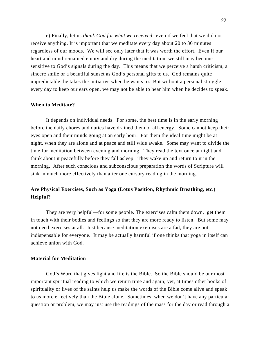e) Finally, let us *thank God for what we received*--even if we feel that we did not receive anything. It is important that we meditate every day about 20 to 30 minutes regardless of our moods. We will see only later that it was worth the effort. Even if our heart and mind remained empty and dry during the meditation, we still may become sensitive to God's signals during the day. This means that we perceive a harsh criticism, a sincere smile or a beautiful sunset as God's personal gifts to us. God remains quite unpredictable: he takes the initiative when he wants to. But without a personal struggle every day to keep our ears open, we may not be able to hear him when he decides to speak.

### **When to Meditate?**

It depends on individual needs. For some, the best time is in the early morning before the daily chores and duties have drained them of all energy. Some cannot keep their eyes open and their minds going at an early hour. For them the ideal time might be at night, when they are alone and at peace and still wide awake. Some may want to divide the time for meditation between evening and morning. They read the text once at night and think about it peacefully before they fall asleep. They wake up and return to it in the morning. After such conscious and subconscious preparation the words of Scripture will sink in much more effectively than after one cursory reading in the morning.

# **Are Physical Exercises, Such as Yoga (Lotus Position, Rhythmic Breathing, etc.) Helpful?**

They are very helpful—for some people. The exercises calm them down, get them in touch with their bodies and feelings so that they are more ready to listen. But some may not need exercises at all. Just because meditation exercises are a fad, they are not indispensable for everyone. It may be actually harmful if one thinks that yoga in itself can achieve union with God.

# **Material for Meditation**

God's Word that gives light and life is the Bible. So the Bible should be our most important spiritual reading to which we return time and again; yet, at times other books of spirituality or lives of the saints help us make the words of the Bible come alive and speak to us more effectively than the Bible alone. Sometimes, when we don't have any particular question or problem, we may just use the readings of the mass for the day or read through a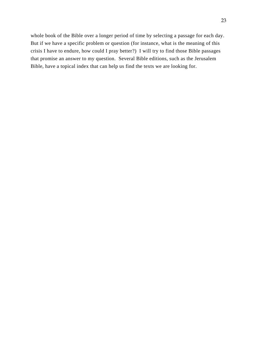whole book of the Bible over a longer period of time by selecting a passage for each day. But if we have a specific problem or question (for instance, what is the meaning of this crisis I have to endure, how could I pray better?) I will try to find those Bible passages that promise an answer to my question. Several Bible editions, such as the Jerusalem Bible, have a topical index that can help us find the texts we are looking for.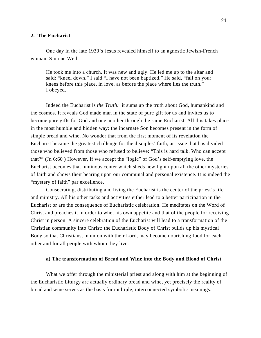### **2. The Eucharist**

One day in the late 1930's Jesus revealed himself to an agnostic Jewish-French woman, Simone Weil:

He took me into a church. It was new and ugly. He led me up to the altar and said: "kneel down." I said "I have not been baptized." He said, "fall on your knees before this place, in love, as before the place where lies the truth." I obeyed.

Indeed the Eucharist is *the Truth:* it sums up the truth about God, humankind and the cosmos. It reveals God made man in the state of pure gift for us and invites us to become pure gifts for God and one another through the same Eucharist. All this takes place in the most humble and hidden way: the incarnate Son becomes present in the form of simple bread and wine. No wonder that from the first moment of its revelation the Eucharist became the greatest challenge for the disciples' faith, an issue that has divided those who believed from those who refused to believe: "This is hard talk. Who can accept that?" (Jn 6:60 ) However, if we accept the "logic" of God's self-emptying love, the Eucharist becomes that luminous center which sheds new light upon all the other mysteries of faith and shows their bearing upon our communal and personal existence. It is indeed the "mystery of faith" par excellence.

Consecrating, distributing and living the Eucharist is the center of the priest's life and ministry. All his other tasks and activities either lead to a better participation in the Eucharist or are the consequence of Eucharistic celebration. He meditates on the Word of Christ and preaches it in order to whet his own appetite and that of the people for receiving Christ in person. A sincere celebration of the Eucharist will lead to a transformation of the Christian community into Christ: the Eucharistic Body of Christ builds up his mystical Body so that Christians, in union with their Lord, may become nourishing food for each other and for all people with whom they live.

### **a) The transformation of Bread and Wine into the Body and Blood of Christ**

What we offer through the ministerial priest and along with him at the beginning of the Eucharistic Liturgy are actually ordinary bread and wine, yet precisely the reality of bread and wine serves as the basis for multiple, interconnected symbolic meanings.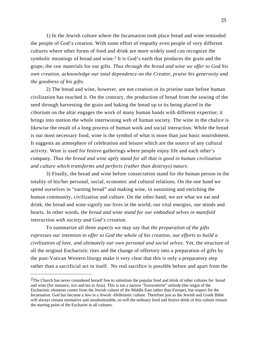1) In the Jewish culture where the Incarnation took place bread and wine reminded the people of God's creation. With some effort of empathy even people of very different cultures where other forms of food and drink are more widely used can recognize the symbolic meanings of bread and wine.<sup>2</sup> It is God's earth that produces the grain and the grape, the raw materials for our gifts. *Thus through the bread and wine we offer to God his own creation, acknowledge our total dependence on the Creator, praise his generosity and the goodness of his gifts.* 

2) The bread and wine, however, are not creation in its pristine state before human civilization has touched it. On the contrary, the production of bread from the sowing of the seed through harvesting the grain and baking the bread up to its being placed in the ciborium on the altar engages the work of many human hands with different expertise; it brings into motion the whole intertwining web of human society. The wine in the chalice is likewise the result of a long process of human work and social interaction. While the bread is our most necessary food, wine is the symbol of what is more than just basic nourishment. It suggests an atmosphere of celebration and leisure which are the source of any cultural activity. Wine is used for festive gatherings where people enjoy life and each other's company. *Thus the bread and wine aptly stand for all that is good in human civilization and culture which transforms and perfects (rather than destroys) nature.* 

3) Finally, the bread and wine before consecration stand for the human person in the totality of his/her personal, social, economic and cultural relations. On the one hand we spend ourselves in "earning bread" and making wine, in sustaining and enriching the human community, civilization and culture. On the other hand, we are what we eat and drink, the bread and wine signify our lives in the world, our vital energies, our minds and hearts. In other words, *the bread and wine stand for our embodied selves in manifold interaction with society and God's creation.* 

To summarize all three aspects we may say that *the preparation of the gifts expresses our intention to offer to God the whole of his creation, our efforts to build a civilization of love, and ultimately our own personal and social selves.* Yet, the structure of all the original Eucharistic rites and the change of offertory into a preparation of gifts by the post-Vatican Western liturgy make it very clear that this is only a preparatory step rather than a sacrificial act in itself. No real sacrifice is possible before and apart from the

 $\overline{a}$ 

<sup>&</sup>lt;sup>2</sup>The Church has never considered herself free to substitute the popular food and drink of other cultures for bread and wine (for instance, rice and tea in Asia). This is not a narrow "Eurocentrist" attitude (the origin of the Eucharistic elements comes from the Jewish culture of the Middle East rather than Europe), but respect for the Incarnation. God has become a Jew in a Jewish -Hellenistic culture. Therefore just as the Jewish and Greek Bible will always remain normative and unsubstitutable, so will the ordinary food and festive drink of this culture remain the starting point of the Eucharist in all cultures.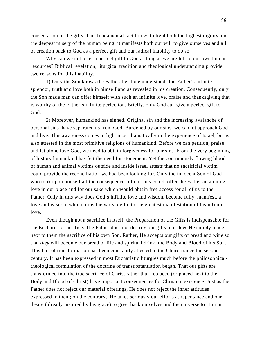consecration of the gifts. This fundamental fact brings to light both the highest dignity and the deepest misery of the human being: it manifests both our will to give ourselves and all of creation back to God as a perfect gift and our radical inability to do so.

Why can we not offer a perfect gift to God as long as we are left to our own human resources? Biblical revelation, liturgical tradition and theological understanding provide two reasons for this inability.

1) Only the Son knows the Father; he alone understands the Father's infinite splendor, truth and love both in himself and as revealed in his creation. Consequently, only the Son made man can offer himself with such an infinite love, praise and thanksgiving that is worthy of the Father's infinite perfection. Briefly, only God can give a perfect gift to God.

2) Moreover, humankind has sinned. Original sin and the increasing avalanche of personal sins have separated us from God. Burdened by our sins, we cannot approach God and live. This awareness comes to light most dramatically in the experience of Israel, but is also attested in the most primitive religions of humankind. Before we can petition, praise and let alone love God, we need to obtain forgiveness for our sins. From the very beginning of history humankind has felt the need for atonement. Yet the continuously flowing blood of human and animal victims outside and inside Israel attests that no sacrificial victim could provide the reconciliation we had been looking for. Only the innocent Son of God who took upon himself all the consequences of our sins could offer the Father an atoning love in our place and for our sake which would obtain free access for all of us to the Father. Only in this way does God's infinite love and wisdom become fully manifest, a love and wisdom which turns the worst evil into the greatest manifestation of his infinite love.

Even though not a sacrifice in itself, the Preparation of the Gifts is indispensable for the Eucharistic sacrifice. The Father does not destroy our gifts nor does He simply place next to them the sacrifice of his own Son. Rather, He accepts our gifts of bread and wine so that *they* will become our bread of life and spiritual drink, the Body and Blood of his Son. This fact of transformation has been constantly attested in the Church since the second century. It has been expressed in most Eucharistic liturgies much before the philosophicaltheological formulation of the doctrine of transubstantiation began. That our gifts are transformed into the true sacrifice of Christ rather than replaced (or placed next to the Body and Blood of Christ) have important consequences for Christian existence. Just as the Father does not reject our material offerings, He does not reject the inner attitudes expressed in them; on the contrary, He takes seriously our efforts at repentance and our desire (already inspired by his grace) to give back ourselves and the universe to Him in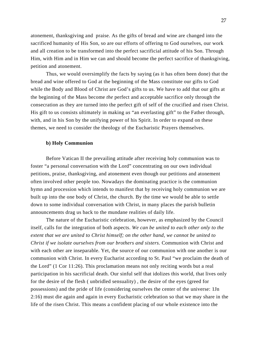atonement, thanksgiving and praise. As the gifts of bread and wine are changed into the sacrificed humanity of His Son, so are our efforts of offering to God ourselves, our work and all creation to be transformed into the perfect sacrificial attitude of his Son. Through Him, with Him and in Him we can and should become the perfect sacrifice of thanksgiving, petition and atonement.

Thus, we would oversimplify the facts by saying (as it has often been done) that the bread and wine offered to God at the beginning of the Mass constitute our gifts to God while the Body and Blood of Christ are God's gifts to us. We have to add that our gifts at the beginning of the Mass become *the* perfect and acceptable sacrifice only through the consecration as they are turned into the perfect gift of self of the crucified and risen Christ. His gift to us consists ultimately in making *us* "an everlasting gift" to the Father through, with, and in his Son by the unifying power of his Spirit. In order to expand on these themes, we need to consider the theology of the Eucharistic Prayers themselves.

### **b) Holy Communion**

Before Vatican II the prevailing attitude after receiving holy communion was to foster "a personal conversation with the Lord" concentrating on our own individual petitions, praise, thanksgiving, and atonement even though our petitions and atonement often involved other people too. Nowadays the dominating practice is the communion hymn and procession which intends to manifest that by receiving holy communion we are built up into the one body of Christ, the church. By the time we would be able to settle down to some individual conversation with Christ, in many places the parish bulletin announcements drag us back to the mundane realities of daily life.

The nature of the Eucharistic celebration, however, as emphasized by the Council itself, calls for the integration of both aspects. *We can be united to each other only to the extent that we are united to Christ himself; on the other hand, we cannot be united to Christ if we isolate ourselves from our brothers and sisters.* Communion with Christ and with each other are inseparable. Yet, the source of our communion with one another is our communion with Christ. In every Eucharist according to St. Paul "we proclaim the death of the Lord" (1 Cor 11:26). This proclamation means not only reciting words but a real participation in his sacrificial death. Our sinful self that idolizes this world, that lives only for the desire of the flesh ( unbridled sensuality) , the desire of the eyes (greed for possessions) and the pride of life (considering ourselves the center of the universe: 1Jn 2:16) must die again and again in every Eucharistic celebration so that we may share in the life of the risen Christ. This means a confident placing of our whole existence into the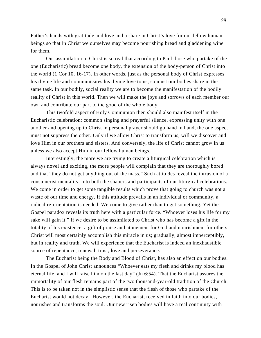Father's hands with gratitude and love and a share in Christ's love for our fellow human beings so that in Christ we ourselves may become nourishing bread and gladdening wine for them.

Our assimilation to Christ is so real that according to Paul those who partake of the one (Eucharistic) bread become one body, the extension of the body-person of Christ into the world (1 Cor 10, 16-17). In other words, just as the personal body of Christ expresses his divine life and communicates his divine love to us, so must our bodies share in the same task. In our bodily, social reality we are to become the manifestation of the bodily reality of Christ in this world. Then we will make the joys and sorrows of each member our own and contribute our part to the good of the whole body.

This twofold aspect of Holy Communion then should also manifest itself in the Eucharistic celebration: common singing and prayerful silence, expressing unity with one another and opening up to Christ in personal prayer should go hand in hand, the one aspect must not suppress the other. Only if we allow Christ to transform us, will we discover and love Him in our brothers and sisters. And conversely, the life of Christ cannot grow in us unless we also accept Him in our fellow human beings.

Interestingly, the more we are trying to create a liturgical celebration which is always novel and exciting, the more people will complain that they are thoroughly bored and that "they do not get anything out of the mass." Such attitudes reveal the intrusion of a consumerist mentality into both the shapers and participants of our liturgical celebrations. We come in order to get some tangible results which prove that going to church was not a waste of our time and energy. If this attitude prevails in an individual or community, a radical re-orientation is needed. We come to give rather than to get something. Yet the Gospel paradox reveals its truth here with a particular force. "Whoever loses his life for my sake will gain it." If we desire to be assimilated to Christ who has become a gift in the totality of his existence, a gift of praise and atonement for God and nourishment for others, Christ will most certainly accomplish this miracle in us; gradually, almost imperceptibly, but in reality and truth. We will experience that the Eucharist is indeed an inexhaustible source of repentance, renewal, trust, love and perseverance.

The Eucharist being the Body and Blood of Christ, has also an effect on our bodies. In the Gospel of John Christ announces "Whoever eats my flesh and drinks my blood has eternal life, and I will raise him on the last day" (Jn 6:54). That the Eucharist assures the immortality of our flesh remains part of the two thousand-year-old tradition of the Church. This is to be taken not in the simplistic sense that the flesh of those who partake of the Eucharist would not decay. However, the Eucharist, received in faith into our bodies, nourishes and transforms the soul. Our new risen bodies will have a real continuity with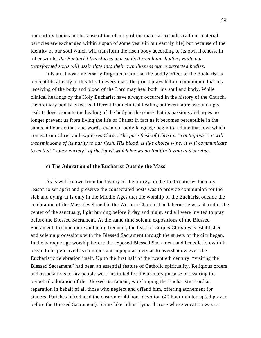our earthly bodies not because of the identity of the material particles (all our material particles are exchanged within a span of some years in our earthly life) but because of the identity of our soul which will transform the risen body according to its own likeness. In other words, *the Eucharist transforms our souls through our bodies, while our transformed souls will assimilate into their own likeness our resurrected bodies.* 

It is an almost universally forgotten truth that the bodily effect of the Eucharist is perceptible already in this life. In every mass the priest prays before communion that his receiving of the body and blood of the Lord may heal both his soul and body. While clinical healings by the Holy Eucharist have always occurred in the history of the Church, the ordinary bodily effect is different from clinical healing but even more astoundingly real. It does promote the healing of the body in the sense that its passions and urges no longer prevent us from living the life of Christ; in fact as it becomes perceptible in the saints, all our actions and words, even our body language begin to radiate that love which comes from Christ and expresses Christ. *The pure flesh of Christ is "contagious": it will transmit some of its purity to our flesh. His blood is like choice wine: it will communicate to us that "sober ebriety" of the Spirit which knows no limit in loving and serving.* 

### **c) The Adoration of the Eucharist Outside the Mass**

As is well known from the history of the liturgy, in the first centuries the only reason to set apart and preserve the consecrated hosts was to provide communion for the sick and dying. It is only in the Middle Ages that the worship of the Eucharist outside the celebration of the Mass developed in the Western Church. The tabernacle was placed in the center of the sanctuary, light burning before it day and night, and all were invited to pray before the Blessed Sacrament. At the same time solemn expositions of the Blessed Sacrament became more and more frequent, the feast of Corpus Christi was established and solemn processions with the Blessed Sacrament through the streets of the city began. In the baroque age worship before the exposed Blessed Sacrament and benediction with it began to be perceived as so important in popular piety as to overshadow even the Eucharistic celebration itself. Up to the first half of the twentieth century "visiting the Blessed Sacrament" had been an essential feature of Catholic spirituality. Religious orders and associations of lay people were instituted for the primary purpose of assuring the perpetual adoration of the Blessed Sacrament, worshipping the Eucharistic Lord as reparation in behalf of all those who neglect and offend him, offering atonement for sinners. Parishes introduced the custom of 40 hour devotion (40 hour uninterrupted prayer before the Blessed Sacrament). Saints like Julian Eymard arose whose vocation was to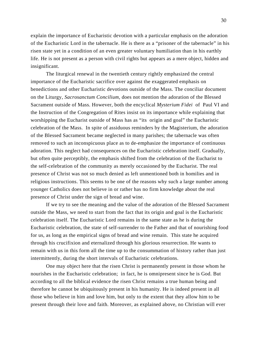explain the importance of Eucharistic devotion with a particular emphasis on the adoration of the Eucharistic Lord in the tabernacle. He is there as a "prisoner of the tabernacle" in his risen state yet in a condition of an even greater voluntary humiliation than in his earthly life. He is not present as a person with civil rights but appears as a mere object, hidden and insignificant.

The liturgical renewal in the twentieth century rightly emphasized the central importance of the Eucharistic sacrifice over against the exaggerated emphasis on benedictions and other Eucharistic devotions outside of the Mass. The conciliar document on the Liturgy, *Sacrosanctum Concilium,* does not mention the adoration of the Blessed Sacrament outside of Mass. However, both the encyclical *Mysterium Fidei* of Paul VI and the Instruction of the Congregation of Rites insist on its importance while explaining that worshipping the Eucharist outside of Mass has as "its origin and goal" the Eucharistic celebration of the Mass. In spite of assiduous reminders by the Magisterium, the adoration of the Blessed Sacrament became neglected in many parishes; the tabernacle was often removed to such an inconspicuous place as to de-emphasize the importance of continuous adoration. This neglect had consequences on the Eucharistic celebration itself. Gradually, but often quite perceptibly, the emphasis shifted from the celebration of the Eucharist to the self-celebration of the community as merely occasioned by the Eucharist. The real presence of Christ was not so much denied as left unmentioned both in homilies and in religious instructions. This seems to be one of the reasons why such a large number among younger Catholics does not believe in or rather has no firm knowledge about the real presence of Christ under the sign of bread and wine.

If we try to see the meaning and the value of the adoration of the Blessed Sacrament outside the Mass, we need to start from the fact that its origin and goal is the Eucharistic celebration itself. The Eucharistic Lord remains in the same state as he is during the Eucharistic celebration, the state of self-surrender to the Father and that of nourishing food for us, as long as the empirical signs of bread and wine remain. This state he acquired through his crucifixion and eternalized through his glorious resurrection. He wants to remain with us in this form all the time up to the consummation of history rather than just intermittently, during the short intervals of Eucharistic celebrations.

One may object here that the risen Christ is permanently present in those whom he nourishes in the Eucharistic celebration; in fact, he is omnipresent since he is God. But according to all the biblical evidence the risen Christ remains a true human being and therefore he cannot be ubiquitously present in his humanity. He is indeed present in all those who believe in him and love him, but only to the extent that they allow him to be present through their love and faith. Moreover, as explained above, no Christian will ever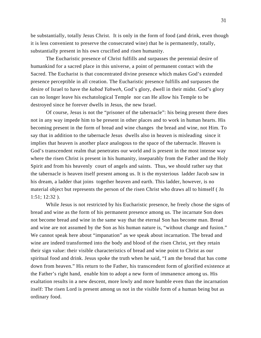be substantially, totally Jesus Christ. It is only in the form of food (and drink, even though it is less convenient to preserve the consecrated wine) that he is permanently, totally, substantially present in his own crucified and risen humanity.

The Eucharistic presence of Christ fulfills and surpasses the perennial desire of humankind for a sacred place in this universe, a point of permanent contact with the Sacred. The Eucharist is that concentrated divine presence which makes God's extended presence perceptible in all creation. The Eucharistic presence fulfills and surpasses the desire of Israel to have the *kabod Yahweh*, God's glory, dwell in their midst. God's glory can no longer leave his eschatological Temple nor can He allow his Temple to be destroyed since he forever dwells in Jesus, the new Israel.

Of course, Jesus is not the "prisoner of the tabernacle": his being present there does not in any way impede him to be present in other places and to work in human hearts. His becoming present in the form of bread and wine changes the bread and wine, not Him. To say that in addition to the tabernacle Jesus dwells also in heaven is misleading since it implies that heaven is another place analogous to the space of the tabernacle. Heaven is God's transcendent realm that penetrates our world and is present in the most intense way where the risen Christ is present in his humanity, inseparably from the Father and the Holy Spirit and from his heavenly court of angels and saints. Thus, we should rather say that the tabernacle is heaven itself present among us. It is the mysterious ladder Jacob saw in his dream, a ladder that joins together heaven and earth. This ladder, however, is no material object but represents the person of the risen Christ who draws all to himself ( Jn 1:51; 12:32 ).

While Jesus is not restricted by his Eucharistic presence, he freely chose the signs of bread and wine as the form of his permanent presence among us. The incarnate Son does not become bread and wine in the same way that the eternal Son has become man. Bread and wine are not assumed by the Son as his human nature is, "without change and fusion." We cannot speak here about "impanation" as we speak about incarnation. The bread and wine are indeed transformed into the body and blood of the risen Christ, yet they retain their sign value: their visible characteristics of bread and wine point to Christ as our spiritual food and drink. Jesus spoke the truth when he said, "I am the bread that has come down from heaven." His return to the Father, his transcendent form of glorified existence at the Father's right hand, enable him to adopt a new form of immanence among us. His exaltation results in a new descent, more lowly and more humble even than the incarnation itself: The risen Lord is present among us not in the visible form of a human being but as ordinary food.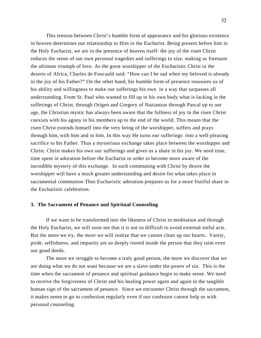This tension between Christ's humble form of appearance and his glorious existence in heaven determines our relationship to Him in the Eucharist. Being present before him in the Holy Eucharist, we are in the presence of heaven itself: the joy of the risen Christ reduces the sense of our own personal tragedies and sufferings to size, making us foretaste the ultimate triumph of love. As the great worshipper of the Eucharistic Christ in the deserts of Africa, Charles de Foucauld said: "How can I be sad when my beloved is already in the joy of his Father?" On the other hand, his humble form of presence reassures us of his ability and willingness to make our sufferings his own in a way that surpasses all understanding. From St. Paul who wanted to fill up in his own body what is lacking in the sufferings of Christ, through Origen and Gregory of Nazianzus through Pascal up to our age, the Christian mystic has always been aware that the fullness of joy in the risen Christ coexists with his agony in his members up to the end of the world. This means that the risen Christ extends himself into the very being of the worshipper, suffers and prays through him, with him and in him. In this way He turns our sufferings into a well-pleasing sacrifice to his Father. Thus a mysterious exchange takes place between the worshipper and Christ. Christ makes his own our sufferings and gives us a share in his joy. We need time, time spent in adoration before the Eucharist in order to become more aware of the incredible mystery of this exchange. In such communing with Christ by desire the worshipper will have a much greater understanding and desire for what takes place in sacramental communion Thus Eucharistic adoration prepares us for a more fruitful share in the Eucharistic celebration.

### **3. The Sacrament of Penance and Spiritual Counseling**

If we want to be transformed into the likeness of Christ in meditation and through the Holy Eucharist, we will soon see that it is not so difficult to avoid external sinful acts. But the more we try, the more we will realize that we cannot clean up our hearts. Vanity, pride, selfishness, and impurity are so deeply rooted inside the person that they taint even our good deeds.

The more we struggle to become a truly good person, the more we discover that we are doing what we do not want because we are a slave under the power of sin. This is the time when the sacrament of penance and spiritual guidance begin to make sense. We need to receive the forgiveness of Christ and his healing power again and again in the tangible human sign of the sacrament of penance. Since we encounter Christ through the sacrament, it makes sense to go to confession regularly even if our confessor cannot help us with personal counseling.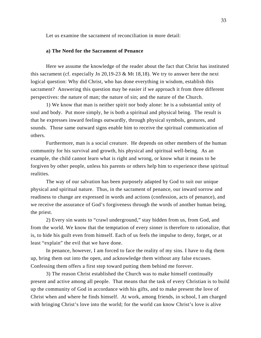Let us examine the sacrament of reconciliation in more detail:

### **a) The Need for the Sacrament of Penance**

Here we assume the knowledge of the reader about the fact that Christ has instituted this sacrament (cf. especially Jn 20,19-23 & Mt 18,18). We try to answer here the next logical question: Why did Christ, who has done everything in wisdom, establish this sacrament? Answering this question may be easier if we approach it from three different perspectives: the nature of man; the nature of sin; and the nature of the Church.

1) We know that man is neither spirit nor body alone: he is a substantial unity of soul and body. Put more simply, he is both a spiritual and physical being. The result is that he expresses inward feelings outwardly, through physical symbols, gestures, and sounds. Those same outward signs enable him to receive the spiritual communication of others.

Furthermore, man is a social creature. He depends on other members of the human community for his survival and growth, his physical and spiritual well-being. As an example, the child cannot learn what is right and wrong, or know what it means to be forgiven by other people, unless his parents or others help him to experience these spiritual realities.

The way of our salvation has been purposely adapted by God to suit our unique physical and spiritual nature. Thus, in the sacrament of penance, our inward sorrow and readiness to change are expressed in words and actions (confession, acts of penance), and we receive the assurance of God's forgiveness through the words of another human being, the priest.

2) Every sin wants to "crawl underground," stay hidden from us, from God, and from the world. We know that the temptation of every sinner is therefore to rationalize, that is, to hide his guilt even from himself. Each of us feels the impulse to deny, forget, or at least "explain" the evil that we have done.

In penance, however, I am forced to face the reality of my sins. I have to dig them up, bring them out into the open, and acknowledge them without any false excuses. Confessing them offers a first step toward putting them behind me forever.

3) The reason Christ established the Church was to make himself continually present and active among all people. That means that the task of every Christian is to build up the community of God in accordance with his gifts, and to make present the love of Christ when and where he finds himself. At work, among friends, in school, I am charged with bringing Christ's love into the world; for the world can know Christ's love is alive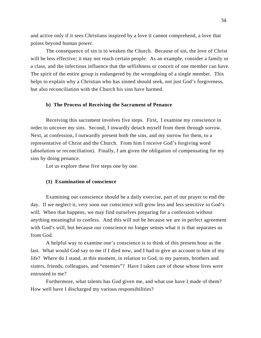and active only if it sees Christians inspired by a love it cannot comprehend, a love that points beyond human power.

The consequence of sin is to weaken the Church. Because of sin, the love of Christ will be less effective; it may not reach certain people. As an example, consider a family or a class, and the infectious influence that the selfishness or conceit of one member can have. The spirit of the entire group is endangered by the wrongdoing of a single member. This helps to explain why a Christian who has sinned should seek, not just God's forgiveness, but also reconciliation with the Church his sins have harmed.

### **b) The Process of Receiving the Sacrament of Penance**

Receiving this sacrament involves five steps. First, I examine my conscience in order to uncover my sins. Second, I inwardly detach myself from them through sorrow. Next, at confession, I outwardly present both the sins, and my sorrow for them, to a representative of Christ and the Church. From him I receive God's forgiving word (absolution or reconciliation). Finally, I am given the obligation of compensating for my sins by doing penance.

Let us explore these five steps one by one.

### **(1) Examination of conscience**

Examining our conscience should be a daily exercise, part of our prayer to end the day. If we neglect it, very soon our conscience will grow less and less sensitive to God's will. When that happens, we may find ourselves preparing for a confession without anything meaningful to confess. And this will not be because we are in perfect agreement with God's will, but because our conscience no longer senses what it is that separates us from God.

A helpful way to examine one's conscience is to think of this present hour as the last. What would God say to me if I died now, and I had to give an account to him of my life? Where do I stand, at this moment, in relation to God, to my parents, brothers and sisters, friends, colleagues, and "enemies"? Have I taken care of those whose lives were entrusted to me?

Furthermore, what talents has God given me, and what use have I made of them? How well have I discharged my various responsibilities?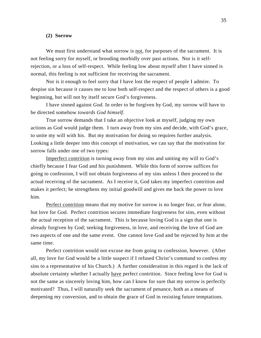### **(2) Sorrow**

We must first understand what sorrow is not, for purposes of the sacrament. It is not feeling sorry for myself, or brooding morbidly over past actions. Nor is it selfrejection, or a loss of self-respect. While feeling low about myself after I have sinned is normal, this feeling is not sufficient for receiving the sacrament.

Nor is it enough to feel sorry that I have lost the respect of people I admire. To despise sin because it causes me to lose both self-respect and the respect of others is a good beginning, but will not by itself secure God's forgiveness.

I have sinned against *God.* In order to be forgiven by God, my sorrow will have to be directed somehow *towards God himself.*

True sorrow demands that I take an objective look at myself, judging my own actions as God would judge them. I turn away from my sins and decide, with God's grace, to unite my will with his. But my motivation for doing so requires further analysis. Looking a little deeper into this concept of motivation, we can say that the motivation for sorrow falls under one of two types:

Imperfect contrition is turning away from my sins and uniting my will to God's chiefly because I fear God and his punishment. While this form of sorrow suffices for going to confession, I will not obtain forgiveness of my sins unless I then proceed to the actual receiving of the sacrament. As I receive it, God takes my imperfect contrition and makes it perfect; he strengthens my initial goodwill and gives me back the power to love him.

Perfect contrition means that my motive for sorrow is no longer fear, or fear alone, but love for God. Perfect contrition secures immediate forgiveness for sins, even without the actual reception of the sacrament. This is because loving God is a sign that one is already forgiven by God; seeking forgiveness, in love, and receiving the love of God are two aspects of one and the same event. One cannot love God and be rejected by him at the same time.

Perfect contrition would not excuse me from going to confession, however. (After all, my love for God would be a little suspect if I refused Christ's command to confess my sins to a representative of his Church.) A further consideration in this regard is the lack of absolute certainty whether I actually have perfect contrition. Since feeling love for God is not the same as sincerely loving him, how can I know for sure that my sorrow is perfectly motivated? Thus, I will naturally seek the sacrament of penance, both as a means of deepening my conversion, and to obtain the grace of God in resisting future temptations.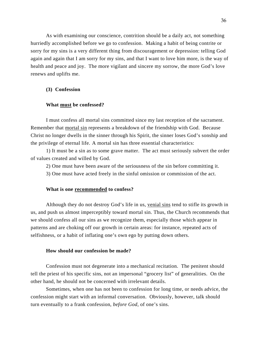As with examining our conscience, contrition should be a daily act, not something hurriedly accomplished before we go to confession. Making a habit of being contrite or sorry for my sins is a very different thing from discouragement or depression: telling God again and again that I am sorry for my sins, and that I want to love him more, is the way of health and peace and joy. The more vigilant and sincere my sorrow, the more God's love renews and uplifts me.

### **(3) Confession**

### **What must be confessed?**

I must confess all mortal sins committed since my last reception of the sacrament. Remember that mortal sin represents a breakdown of the friendship with God. Because Christ no longer dwells in the sinner through his Spirit, the sinner loses God's sonship and the privilege of eternal life. A mortal sin has three essential characteristics:

1) It must be a sin as to some grave matter. The act must seriously subvert the order of values created and willed by God.

2) One must have been aware of the seriousness of the sin before committing it.

3) One must have acted freely in the sinful omission or commission of the act.

### **What is one recommended to confess?**

Although they do not destroy God's life in us, venial sins tend to stifle its growth in us, and push us almost imperceptibly toward mortal sin. Thus, the Church recommends that we should confess all our sins as we recognize them, especially those which appear in patterns and are choking off our growth in certain areas: for instance, repeated acts of selfishness, or a habit of inflating one's own ego by putting down others.

### **How should our confession be made?**

Confession must not degenerate into a mechanical recitation. The penitent should tell the priest of his specific sins, not an impersonal "grocery list" of generalities. On the other hand, he should not be concerned with irrelevant details.

Sometimes, when one has not been to confession for long time, or needs advice, the confession might start with an informal conversation. Obviously, however, talk should turn eventually to a frank confession, *before God*, of one's sins.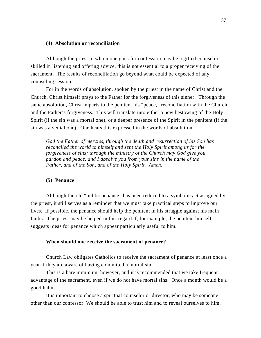### **(4) Absolution or reconciliation**

Although the priest to whom one goes for confession may be a gifted counselor, skilled in listening and offering advice, this is not essential to a proper receiving of the sacrament. The results of reconciliation go beyond what could be expected of any counseling session.

For in the words of absolution, spoken by the priest in the name of Christ and the Church, Christ himself prays to the Father for the forgiveness of this sinner. Through the same absolution, Christ imparts to the penitent his "peace," reconciliation with the Church and the Father's forgiveness. This will translate into either a new bestowing of the Holy Spirit (if the sin was a mortal one), or a deeper presence of the Spirit in the penitent (if the sin was a venial one). One hears this expressed in the words of absolution:

*God the Father of mercies, through the death and resurrection of his Son has reconciled the world to himself and sent the Holy Spirit among us for the forgiveness of sins; through the ministry of the Church may God give you pardon and peace, and I absolve you from your sins in the name of the Father, and of the Son, and of the Holy Spirit. Amen.* 

# **(5) Penance**

Although the old "public penance" has been reduced to a symbolic act assigned by the priest, it still serves as a reminder that we must take practical steps to improve our lives. If possible, the penance should help the penitent in his struggle against his main faults. The priest may be helped in this regard if, for example, the penitent himself suggests ideas for penance which appear particularly useful to him.

### **When should one receive the sacrament of penance?**

Church Law obligates Catholics to receive the sacrament of penance at least once a year if they are aware of having committed a mortal sin.

This is a bare minimum, however, and it is recommended that we take frequent advantage of the sacrament, even if we do not have mortal sins. Once a month would be a good habit.

It is important to choose a spiritual counselor or director, who may be someone other than our confessor. We should be able to trust him and to reveal ourselves to him.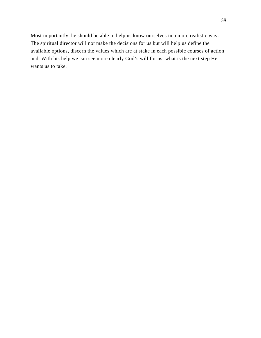Most importantly, he should be able to help us know ourselves in a more realistic way. The spiritual director will not make the decisions for us but will help us define the available options, discern the values which are at stake in each possible courses of action and. With his help we can see more clearly God's will for us: what is the next step He wants us to take.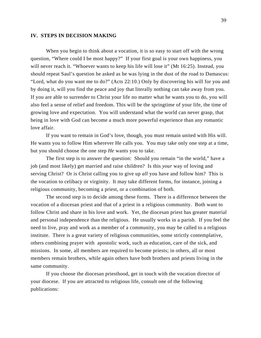### **IV. STEPS IN DECISION MAKING**

When you begin to think about a vocation, it is so easy to start off with the wrong question, "Where could I be most happy?" If your first goal is your own happiness, you will never reach it. "Whoever wants to keep his life will lose it" (Mt 16:25). Instead, you should repeat Saul's question he asked as he was lying in the dust of the road to Damascus: "Lord, what do you want me to do?" (Acts 22:10.) Only by discovering his will for you and by doing it, will you find the peace and joy that literally nothing can take away from you. If you are able to surrender to Christ your life no matter what he wants you to do, you will also feel a sense of relief and freedom. This will be the springtime of your life, the time of growing love and expectation. You will understand what the world can never grasp, that being in love with God can become a much more powerful experience than any romantic love affair.

If you want to remain in God's love, though, you must remain united with His will. He wants you to follow Him wherever He calls you. You may take only one step at a time, but you should choose the one step *He* wants you to take.

The first step is to answer the question: Should you remain "in the world," have a job (and most likely) get married and raise children? Is this *your* way of loving and serving Christ? Or is Christ calling you to give up *all* you have and follow him? This is the vocation to celibacy or virginity. It may take different forms, for instance, joining a religious community, becoming a priest, or a combination of both.

The second step is to decide among these forms. There is a difference between the vocation of a diocesan priest and that of a priest in a religious community. Both want to follow Christ and share in his love and work. Yet, the diocesan priest has greater material and personal independence than the religious. He usually works in a parish. If you feel the need to live, pray and work as a member of a community, you may be called to a religious institute. There is a great variety of religious communities, some strictly contemplative, others combining prayer with apostolic work, such as education, care of the sick, and missions. In some, all members are required to become priests; in others, all or most members remain brothers, while again others have both brothers and priests living in the same community.

If you choose the diocesan priesthood, get in touch with the vocation director of your diocese. If you are attracted to religious life, consult one of the following publications: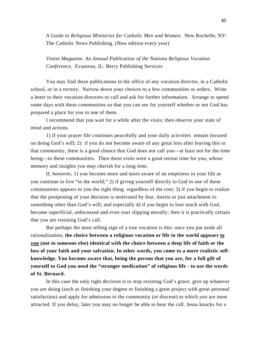*A Guide to Religious Ministries for Catholic Men and Women.* New Rochelle, NY: The Catholic News Publishing. (New edition every year)

*Vision Magazine. An Annual Publication of the Nationa Religious Vocation Conference,* Evanston, IL: Berry Publishing Services

You may find these publications in the office of any vocation director, in a Catholic school, or in a rectory. Narrow down your choices to a few communities or orders. Write a letter to their vocation directors or call and ask for further information. Arrange to spend some days with these communities so that you can see for yourself whether or not God has prepared a place for you in one of them.

I recommend that you wait for a while after the visits; then observe your state of mind and actions.

1) If your prayer life continues peacefully and your daily activities remain focused on doing God's will; 2) if you do not become aware of any great loss after leaving this or that community, there is a good chance that God does not call you—at least not for the time being—to these communities. Then these visits were a good retreat time for you, whose memory and insights you may cherish for a long time.

If, however, 1) you become more and more aware of an emptiness in your life as you continue to live "in the world;" 2) if giving yourself directly to God in one of these communities appears to you the right thing regardless of the cost; 3) if you begin to realize that the postponing of your decision is motivated by fear, inertia or just attachment to something other than God's will; and especially 4) if you begin to lose touch with God, become superficial, unfocussed and even start slipping morally: then it is practically certain that you are resisting God's call.

But perhaps the most telling sign of a true vocation is this: once you put aside all rationalization, **the choice between a religious vocation or life in the world appears to you (not to someone else) identical with the choice between a deep life of faith or the loss of your faith and your salvation. In other words, you come to a more realistic selfknowledge. You become aware that, being the person that you are, for a full gift of yourself to God you need the "stronger medication" of religious life - to use the words of St. Bernard.**

In this case the only right decision is to stop resisting God's grace, give up whatever you are doing (such as finishing your degree or finishing a great project with great personal satisfaction) and apply for admission to the community (or diocese) to which you are most attracted. If you delay, later you may no longer be able to hear the call. Jesus knocks for a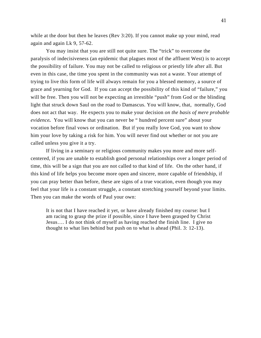while at the door but then he leaves (Rev 3:20). If you cannot make up your mind, read again and again Lk 9, 57-62.

You may insist that you are still not quite sure. The "trick" to overcome the paralysis of indecisiveness (an epidemic that plagues most of the affluent West) is to accept the possibility of failure. You may not be called to religious or priestly life after all. But even in this case, the time you spent in the community was not a waste. Your attempt of trying to live this form of life will always remain for you a blessed memory, a source of grace and yearning for God. If you can accept the possibility of this kind of "failure," you will be free. Then you will not be expecting an irrestible "push" from God or the blinding light that struck down Saul on the road to Damascus. You will know, that, normally, God does not act that way. He expects you to make your decision *on the basis of mere probable evidence.* You will know that you can never be " hundred percent sure" about your vocation before final vows or ordination. But if you really love God, you want to show him your love by taking a risk for him. You will never find out whether or not you are called unless you give it a try.

If living in a seminary or religious community makes you more and more selfcentered, if you are unable to establish good personal relationships over a longer period of time, this will be a sign that you are not called to that kind of life. On the other hand, if this kind of life helps you become more open and sincere, more capable of friendship, if you can pray better than before, these are signs of a true vocation, even though you may feel that your life is a constant struggle, a constant stretching yourself beyond your limits. Then you can make the words of Paul your own:

It is not that I have reached it yet, or have already finished my course: but I am racing to grasp the prize if possible, since I have been grasped by Christ Jesus…. I do not think of myself as having reached the finish line. I give no thought to what lies behind but push on to what is ahead (Phil. 3: 12-13).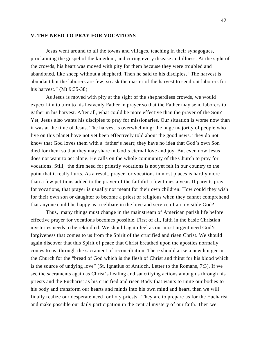### **V. THE NEED TO PRAY FOR VOCATIONS**

Jesus went around to all the towns and villages, teaching in their synagogues, proclaiming the gospel of the kingdom, and curing every disease and illness. At the sight of the crowds, his heart was moved with pity for them because they were troubled and abandoned, like sheep without a shepherd. Then he said to his disciples, "The harvest is abundant but the laborers are few; so ask the master of the harvest to send out laborers for his harvest." (Mt 9:35-38)

As Jesus is moved with pity at the sight of the shepherdless crowds, we would expect him to turn to his heavenly Father in prayer so that the Father may send laborers to gather in his harvest. After all, what could be more effective than the prayer of the Son? Yet, Jesus also wants his disciples to pray for missionaries. Our situation is worse now than it was at the time of Jesus. The harvest is overwhelming: the huge majority of people who live on this planet have not yet been effectively told about the good news. They do not know that God loves them with a father's heart; they have no idea that God's own Son died for them so that they may share in God's eternal love and joy. But even now Jesus does not want to act alone. He calls on the whole community of the Church to pray for vocations. Still, the dire need for priestly vocations is not yet felt in our country to the point that it really hurts. As a result, prayer for vocations in most places is hardly more than a few petitions added to the prayer of the faithful a few times a year. If parents pray for vocations, that prayer is usually not meant for their own children. How could they wish for their own son or daughter to become a priest or religious when they cannot comprehend that anyone could be happy as a celibate in the love and service of an invisible God?

Thus, many things must change in the mainstream of American parish life before effective prayer for vocations becomes possible. First of all, faith in the basic Christian mysteries needs to be rekindled. We should again feel as our most urgent need God's forgiveness that comes to us from the Spirit of the crucified and risen Christ. We should again discover that this Spirit of peace that Christ breathed upon the apostles normally comes to us through the sacrament of reconciliation. There should arise a new hunger in the Church for the "bread of God which is the flesh of Christ and thirst for his blood which is the source of undying love" (St. Ignatius of Antioch, Letter to the Romans, 7:3). If we see the sacraments again as Christ's healing and sanctifying actions among us through his priests and the Eucharist as his crucified and risen Body that wants to unite our bodies to his body and transform our hearts and minds into his own mind and heart, then we will finally realize our desperate need for holy priests. They are to prepare us for the Eucharist and make possible our daily participation in the central mystery of our faith. Then we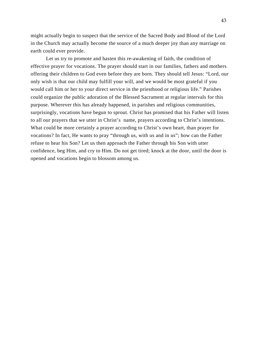might actually begin to suspect that the service of the Sacred Body and Blood of the Lord in the Church may actually become the source of a much deeper joy than any marriage on earth could ever provide.

Let us try to promote and hasten this re-awakening of faith, the condition of effective prayer for vocations. The prayer should start in our families, fathers and mothers offering their children to God even before they are born. They should tell Jesus: "Lord, our only wish is that our child may fulfill your will, and we would be most grateful if you would call him or her to your direct service in the priesthood or religious life." Parishes could organize the public adoration of the Blessed Sacrament at regular intervals for this purpose. Wherever this has already happened, in parishes and religious communities, surprisingly, vocations have begun to sprout. Christ has promised that his Father will listen to all our prayers that we utter in Christ's name, prayers according to Christ's intentions. What could be more certainly a prayer according to Christ's own heart, than prayer for vocations? In fact, He wants to pray "through us, with us and in us"; how can the Father refuse to hear his Son? Let us then approach the Father through his Son with utter confidence, beg Him, and cry to Him. Do not get tired; knock at the door, until the door is opened and vocations begin to blossom among us.